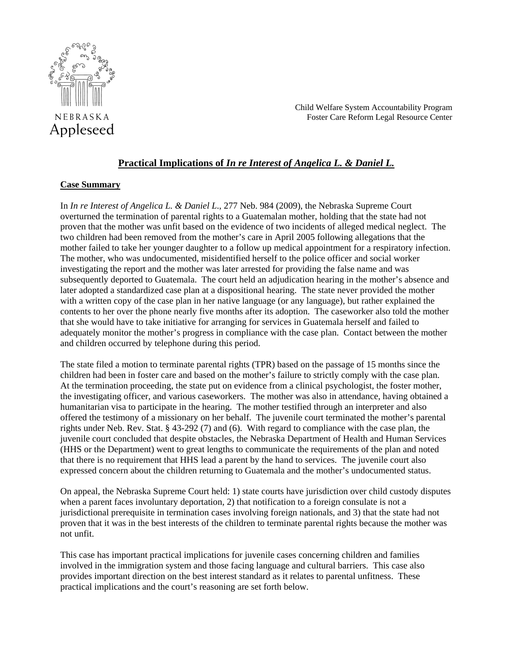

Child Welfare System Accountability Program Foster Care Reform Legal Resource Center

# **Practical Implications of** *In re Interest of Angelica L. & Daniel L.*

### **Case Summary**

In *In re Interest of Angelica L. & Daniel L*., 277 Neb. 984 (2009), the Nebraska Supreme Court overturned the termination of parental rights to a Guatemalan mother, holding that the state had not proven that the mother was unfit based on the evidence of two incidents of alleged medical neglect. The two children had been removed from the mother's care in April 2005 following allegations that the mother failed to take her younger daughter to a follow up medical appointment for a respiratory infection. The mother, who was undocumented, misidentified herself to the police officer and social worker investigating the report and the mother was later arrested for providing the false name and was subsequently deported to Guatemala. The court held an adjudication hearing in the mother's absence and later adopted a standardized case plan at a dispositional hearing. The state never provided the mother with a written copy of the case plan in her native language (or any language), but rather explained the contents to her over the phone nearly five months after its adoption. The caseworker also told the mother that she would have to take initiative for arranging for services in Guatemala herself and failed to adequately monitor the mother's progress in compliance with the case plan. Contact between the mother and children occurred by telephone during this period.

The state filed a motion to terminate parental rights (TPR) based on the passage of 15 months since the children had been in foster care and based on the mother's failure to strictly comply with the case plan. At the termination proceeding, the state put on evidence from a clinical psychologist, the foster mother, the investigating officer, and various caseworkers. The mother was also in attendance, having obtained a humanitarian visa to participate in the hearing. The mother testified through an interpreter and also offered the testimony of a missionary on her behalf. The juvenile court terminated the mother's parental rights under Neb. Rev. Stat. § 43-292 (7) and (6). With regard to compliance with the case plan, the juvenile court concluded that despite obstacles, the Nebraska Department of Health and Human Services (HHS or the Department) went to great lengths to communicate the requirements of the plan and noted that there is no requirement that HHS lead a parent by the hand to services. The juvenile court also expressed concern about the children returning to Guatemala and the mother's undocumented status.

On appeal, the Nebraska Supreme Court held: 1) state courts have jurisdiction over child custody disputes when a parent faces involuntary deportation, 2) that notification to a foreign consulate is not a jurisdictional prerequisite in termination cases involving foreign nationals, and 3) that the state had not proven that it was in the best interests of the children to terminate parental rights because the mother was not unfit.

This case has important practical implications for juvenile cases concerning children and families involved in the immigration system and those facing language and cultural barriers. This case also provides important direction on the best interest standard as it relates to parental unfitness. These practical implications and the court's reasoning are set forth below.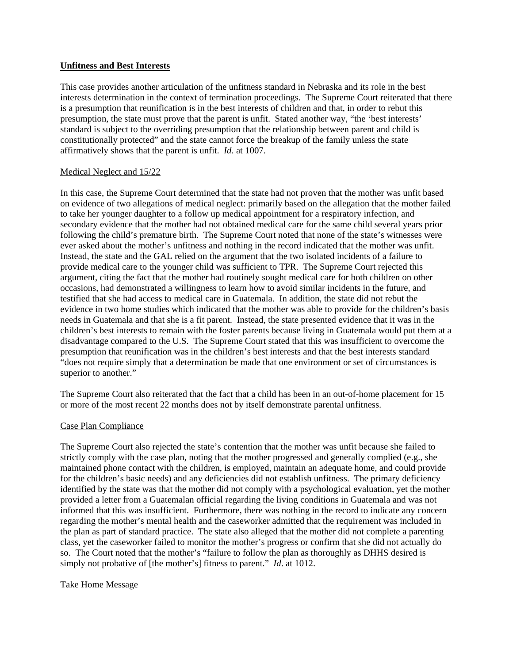### **Unfitness and Best Interests**

This case provides another articulation of the unfitness standard in Nebraska and its role in the best interests determination in the context of termination proceedings. The Supreme Court reiterated that there is a presumption that reunification is in the best interests of children and that, in order to rebut this presumption, the state must prove that the parent is unfit. Stated another way, "the 'best interests' standard is subject to the overriding presumption that the relationship between parent and child is constitutionally protected" and the state cannot force the breakup of the family unless the state affirmatively shows that the parent is unfit. *Id*. at 1007.

### Medical Neglect and 15/22

In this case, the Supreme Court determined that the state had not proven that the mother was unfit based on evidence of two allegations of medical neglect: primarily based on the allegation that the mother failed to take her younger daughter to a follow up medical appointment for a respiratory infection, and secondary evidence that the mother had not obtained medical care for the same child several years prior following the child's premature birth. The Supreme Court noted that none of the state's witnesses were ever asked about the mother's unfitness and nothing in the record indicated that the mother was unfit. Instead, the state and the GAL relied on the argument that the two isolated incidents of a failure to provide medical care to the younger child was sufficient to TPR. The Supreme Court rejected this argument, citing the fact that the mother had routinely sought medical care for both children on other occasions, had demonstrated a willingness to learn how to avoid similar incidents in the future, and testified that she had access to medical care in Guatemala. In addition, the state did not rebut the evidence in two home studies which indicated that the mother was able to provide for the children's basis needs in Guatemala and that she is a fit parent. Instead, the state presented evidence that it was in the children's best interests to remain with the foster parents because living in Guatemala would put them at a disadvantage compared to the U.S. The Supreme Court stated that this was insufficient to overcome the presumption that reunification was in the children's best interests and that the best interests standard "does not require simply that a determination be made that one environment or set of circumstances is superior to another."

The Supreme Court also reiterated that the fact that a child has been in an out-of-home placement for 15 or more of the most recent 22 months does not by itself demonstrate parental unfitness.

## Case Plan Compliance

The Supreme Court also rejected the state's contention that the mother was unfit because she failed to strictly comply with the case plan, noting that the mother progressed and generally complied (e.g., she maintained phone contact with the children, is employed, maintain an adequate home, and could provide for the children's basic needs) and any deficiencies did not establish unfitness. The primary deficiency identified by the state was that the mother did not comply with a psychological evaluation, yet the mother provided a letter from a Guatemalan official regarding the living conditions in Guatemala and was not informed that this was insufficient. Furthermore, there was nothing in the record to indicate any concern regarding the mother's mental health and the caseworker admitted that the requirement was included in the plan as part of standard practice. The state also alleged that the mother did not complete a parenting class, yet the caseworker failed to monitor the mother's progress or confirm that she did not actually do so. The Court noted that the mother's "failure to follow the plan as thoroughly as DHHS desired is simply not probative of [the mother's] fitness to parent." *Id*. at 1012.

## Take Home Message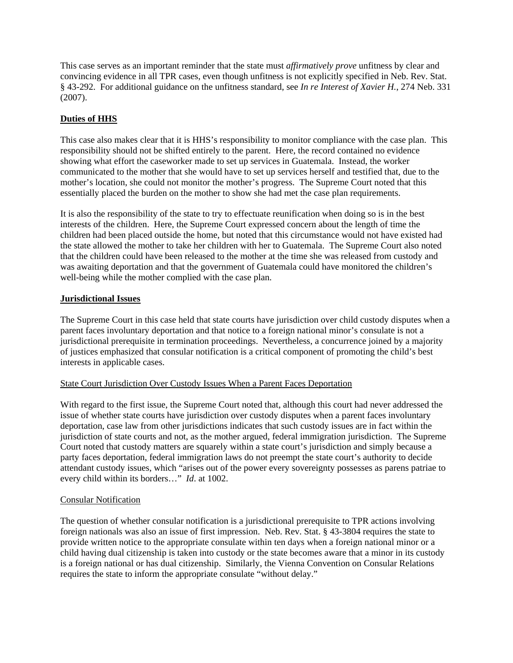This case serves as an important reminder that the state must *affirmatively prove* unfitness by clear and convincing evidence in all TPR cases, even though unfitness is not explicitly specified in Neb. Rev. Stat. § 43-292. For additional guidance on the unfitness standard, see *In re Interest of Xavier H.*, 274 Neb. 331 (2007).

## **Duties of HHS**

This case also makes clear that it is HHS's responsibility to monitor compliance with the case plan. This responsibility should not be shifted entirely to the parent. Here, the record contained no evidence showing what effort the caseworker made to set up services in Guatemala. Instead, the worker communicated to the mother that she would have to set up services herself and testified that, due to the mother's location, she could not monitor the mother's progress. The Supreme Court noted that this essentially placed the burden on the mother to show she had met the case plan requirements.

It is also the responsibility of the state to try to effectuate reunification when doing so is in the best interests of the children. Here, the Supreme Court expressed concern about the length of time the children had been placed outside the home, but noted that this circumstance would not have existed had the state allowed the mother to take her children with her to Guatemala. The Supreme Court also noted that the children could have been released to the mother at the time she was released from custody and was awaiting deportation and that the government of Guatemala could have monitored the children's well-being while the mother complied with the case plan.

### **Jurisdictional Issues**

The Supreme Court in this case held that state courts have jurisdiction over child custody disputes when a parent faces involuntary deportation and that notice to a foreign national minor's consulate is not a jurisdictional prerequisite in termination proceedings. Nevertheless, a concurrence joined by a majority of justices emphasized that consular notification is a critical component of promoting the child's best interests in applicable cases.

#### State Court Jurisdiction Over Custody Issues When a Parent Faces Deportation

With regard to the first issue, the Supreme Court noted that, although this court had never addressed the issue of whether state courts have jurisdiction over custody disputes when a parent faces involuntary deportation, case law from other jurisdictions indicates that such custody issues are in fact within the jurisdiction of state courts and not, as the mother argued, federal immigration jurisdiction. The Supreme Court noted that custody matters are squarely within a state court's jurisdiction and simply because a party faces deportation, federal immigration laws do not preempt the state court's authority to decide attendant custody issues, which "arises out of the power every sovereignty possesses as parens patriae to every child within its borders…" *Id*. at 1002.

#### Consular Notification

The question of whether consular notification is a jurisdictional prerequisite to TPR actions involving foreign nationals was also an issue of first impression. Neb. Rev. Stat. § 43-3804 requires the state to provide written notice to the appropriate consulate within ten days when a foreign national minor or a child having dual citizenship is taken into custody or the state becomes aware that a minor in its custody is a foreign national or has dual citizenship. Similarly, the Vienna Convention on Consular Relations requires the state to inform the appropriate consulate "without delay."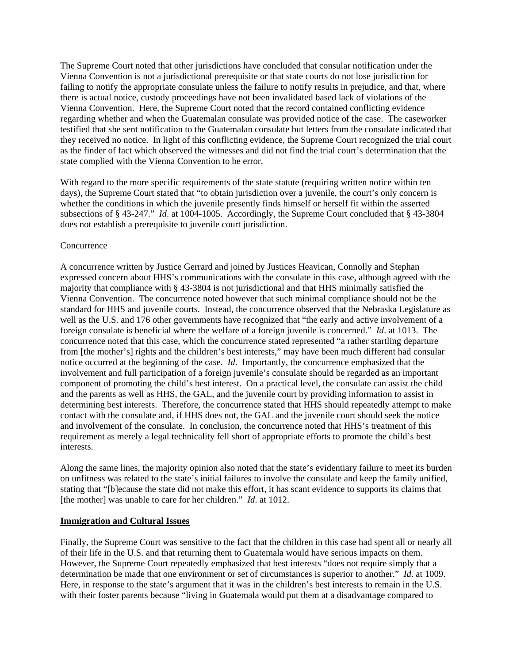The Supreme Court noted that other jurisdictions have concluded that consular notification under the Vienna Convention is not a jurisdictional prerequisite or that state courts do not lose jurisdiction for failing to notify the appropriate consulate unless the failure to notify results in prejudice, and that, where there is actual notice, custody proceedings have not been invalidated based lack of violations of the Vienna Convention. Here, the Supreme Court noted that the record contained conflicting evidence regarding whether and when the Guatemalan consulate was provided notice of the case. The caseworker testified that she sent notification to the Guatemalan consulate but letters from the consulate indicated that they received no notice. In light of this conflicting evidence, the Supreme Court recognized the trial court as the finder of fact which observed the witnesses and did not find the trial court's determination that the state complied with the Vienna Convention to be error.

With regard to the more specific requirements of the state statute (requiring written notice within ten days), the Supreme Court stated that "to obtain jurisdiction over a juvenile, the court's only concern is whether the conditions in which the juvenile presently finds himself or herself fit within the asserted subsections of § 43-247." *Id*. at 1004-1005. Accordingly, the Supreme Court concluded that § 43-3804 does not establish a prerequisite to juvenile court jurisdiction.

### Concurrence

A concurrence written by Justice Gerrard and joined by Justices Heavican, Connolly and Stephan expressed concern about HHS's communications with the consulate in this case, although agreed with the majority that compliance with § 43-3804 is not jurisdictional and that HHS minimally satisfied the Vienna Convention. The concurrence noted however that such minimal compliance should not be the standard for HHS and juvenile courts. Instead, the concurrence observed that the Nebraska Legislature as well as the U.S. and 176 other governments have recognized that "the early and active involvement of a foreign consulate is beneficial where the welfare of a foreign juvenile is concerned." *Id*. at 1013. The concurrence noted that this case, which the concurrence stated represented "a rather startling departure from [the mother's] rights and the children's best interests," may have been much different had consular notice occurred at the beginning of the case. *Id*. Importantly, the concurrence emphasized that the involvement and full participation of a foreign juvenile's consulate should be regarded as an important component of promoting the child's best interest. On a practical level, the consulate can assist the child and the parents as well as HHS, the GAL, and the juvenile court by providing information to assist in determining best interests. Therefore, the concurrence stated that HHS should repeatedly attempt to make contact with the consulate and, if HHS does not, the GAL and the juvenile court should seek the notice and involvement of the consulate. In conclusion, the concurrence noted that HHS's treatment of this requirement as merely a legal technicality fell short of appropriate efforts to promote the child's best interests.

Along the same lines, the majority opinion also noted that the state's evidentiary failure to meet its burden on unfitness was related to the state's initial failures to involve the consulate and keep the family unified, stating that "[b]ecause the state did not make this effort, it has scant evidence to supports its claims that [the mother] was unable to care for her children." *Id.* at 1012.

#### **Immigration and Cultural Issues**

Finally, the Supreme Court was sensitive to the fact that the children in this case had spent all or nearly all of their life in the U.S. and that returning them to Guatemala would have serious impacts on them. However, the Supreme Court repeatedly emphasized that best interests "does not require simply that a determination be made that one environment or set of circumstances is superior to another." *Id*. at 1009. Here, in response to the state's argument that it was in the children's best interests to remain in the U.S. with their foster parents because "living in Guatemala would put them at a disadvantage compared to